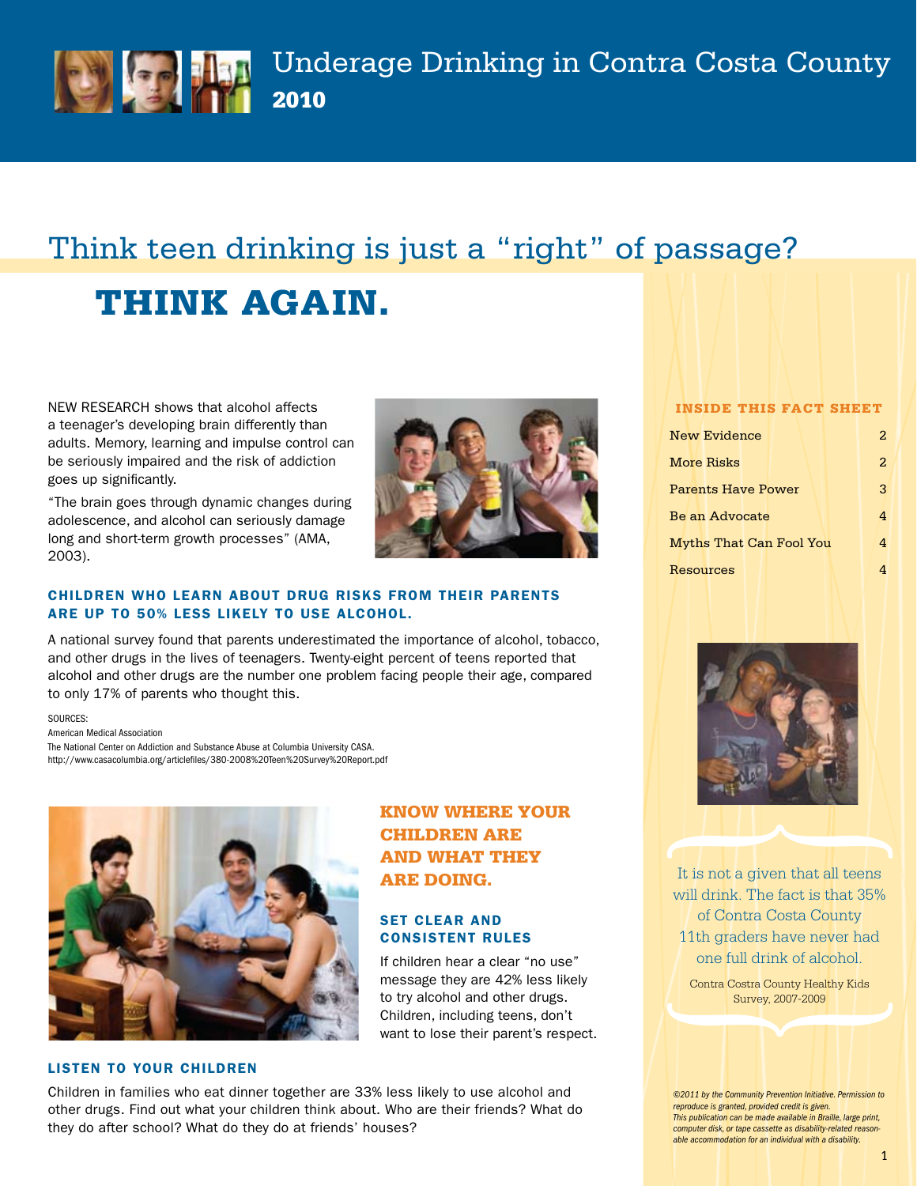

# Think teen drinking is just a "right" of passage?

# Think again.

NEW RESEARCH shows that alcohol affects a teenager's developing brain differently than adults. Memory, learning and impulse control can be seriously impaired and the risk of addiction goes up significantly.

"The brain goes through dynamic changes during adolescence, and alcohol can seriously damage long and short-term growth processes" (AMA, 2003).



Know where your

If children hear a clear "no use" message they are 42% less likely to try alcohol and other drugs. Children, including teens, don't want to lose their parent's respect.

**CHILDREN ARE** and what they

are doing.

**SET CLEAR AND** Consistent Rules

### children who learn about drug risks from their parents are up to 50% less likely to use alcohol.

A national survey found that parents underestimated the importance of alcohol, tobacco, and other drugs in the lives of teenagers. Twenty-eight percent of teens reported that alcohol and other drugs are the number one problem facing people their age, compared to only 17% of parents who thought this.

SOURCES:

American Medical Association The National Center on Addiction and Substance Abuse at Columbia University CASA. http://www.casacolumbia.org/articlefiles/380-2008%20Teen%20Survey%20Report.pdf



### Listen to Your Children

Children in families who eat dinner together are 33% less likely to use alcohol and other drugs. Find out what your children think about. Who are their friends? What do they do after school? What do they do at friends' houses?

### Inside this Fact Sheet

| <b>New Evidence</b>            | 2 |
|--------------------------------|---|
| <b>More Risks</b>              | 2 |
| Parents Have Power             | 3 |
| Be an Advocate                 | 4 |
| <b>Myths That Can Fool You</b> | 4 |
| Resources                      |   |



It is not a given that all teens will drink. The fact is that 35% of Contra Costa County 11th graders have never had one full drink of alcohol.

Contra Costra County Healthy Kids Survey, 2007-2009

*©2011 by the Community Prevention Initiative. Permission to reproduce is granted, provided credit is given. This publication can be made available in Braille, large print, computer disk, or tape cassette as disability-related reasonable accommodation for an individual with a disability.*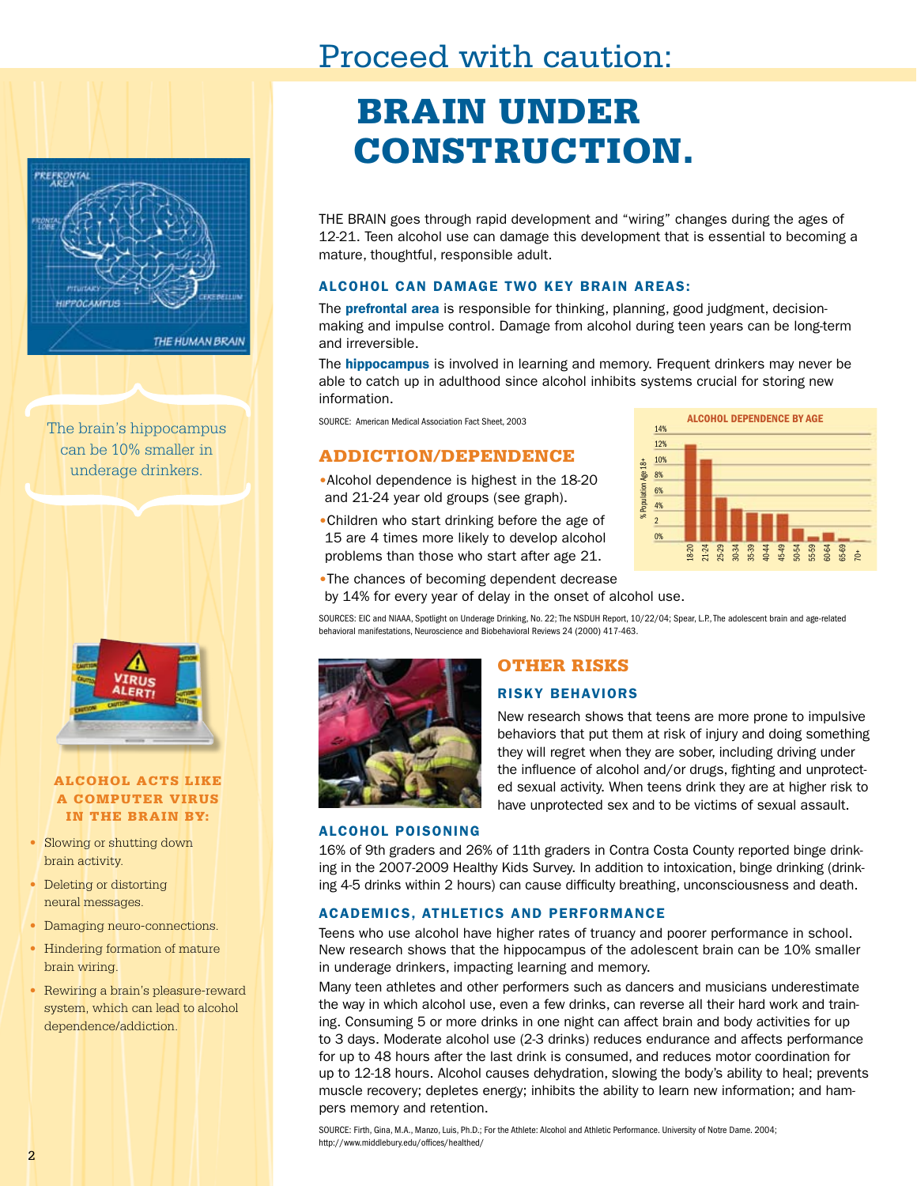## Proceed with caution:



The brain's hippocampus can be 10% smaller in underage drinkers.



### Alcohol acts like a computer virus in the brain by:

- Slowing or shutting down brain activity.
- Deleting or distorting neural messages.
- Damaging neuro-connections.
- Hindering formation of mature brain wiring.
- Rewiring a brain's pleasure-reward system, which can lead to alcohol dependence/addiction.

# brain under **CONSTRUCTION.**

THE BRAIN goes through rapid development and "wiring" changes during the ages of 12-21. Teen alcohol use can damage this development that is essential to becoming a mature, thoughtful, responsible adult.

### Alcohol can damage two key brain areas:

The **prefrontal area** is responsible for thinking, planning, good judgment, decisionmaking and impulse control. Damage from alcohol during teen years can be long-term and irreversible.

The **hippocampus** is involved in learning and memory. Frequent drinkers may never be able to catch up in adulthood since alcohol inhibits systems crucial for storing new information.

SOURCE: American Medical Association Fact Sheet, 2003

## Addiction/Dependence

- •Alcohol dependence is highest in the 18-20 and 21-24 year old groups (see graph).
- •Children who start drinking before the age of 15 are 4 times more likely to develop alcohol problems than those who start after age 21.



•The chances of becoming dependent decrease

by 14% for every year of delay in the onset of alcohol use.

Sources: EIC and NIAAA, Spotlight on Underage Drinking, No. 22; The NSDUH Report, 10/22/04; Spear, L.P., The adolescent brain and age-related behavioral manifestations, Neuroscience and Biobehavioral Reviews 24 (2000) 417-463.



## other risks

### risky behaviors

New research shows that teens are more prone to impulsive behaviors that put them at risk of injury and doing something they will regret when they are sober, including driving under the influence of alcohol and/or drugs, fighting and unprotected sexual activity. When teens drink they are at higher risk to have unprotected sex and to be victims of sexual assault.

### alcohol poisoning

16% of 9th graders and 26% of 11th graders in Contra Costa County reported binge drinking in the 2007-2009 Healthy Kids Survey. In addition to intoxication, binge drinking (drinking 4-5 drinks within 2 hours) can cause difficulty breathing, unconsciousness and death.

### Academics, Athletics and Performance

Teens who use alcohol have higher rates of truancy and poorer performance in school. New research shows that the hippocampus of the adolescent brain can be 10% smaller in underage drinkers, impacting learning and memory.

Many teen athletes and other performers such as dancers and musicians underestimate the way in which alcohol use, even a few drinks, can reverse all their hard work and training. Consuming 5 or more drinks in one night can affect brain and body activities for up to 3 days. Moderate alcohol use (2-3 drinks) reduces endurance and affects performance for up to 48 hours after the last drink is consumed, and reduces motor coordination for up to 12-18 hours. Alcohol causes dehydration, slowing the body's ability to heal; prevents muscle recovery; depletes energy; inhibits the ability to learn new information; and hampers memory and retention.

SOURCE: Firth, Gina, M.A., Manzo, Luis, Ph.D.; For the Athlete: Alcohol and Athletic Performance. University of Notre Dame. 2004; http://www.middlebury.edu/offices/healthed/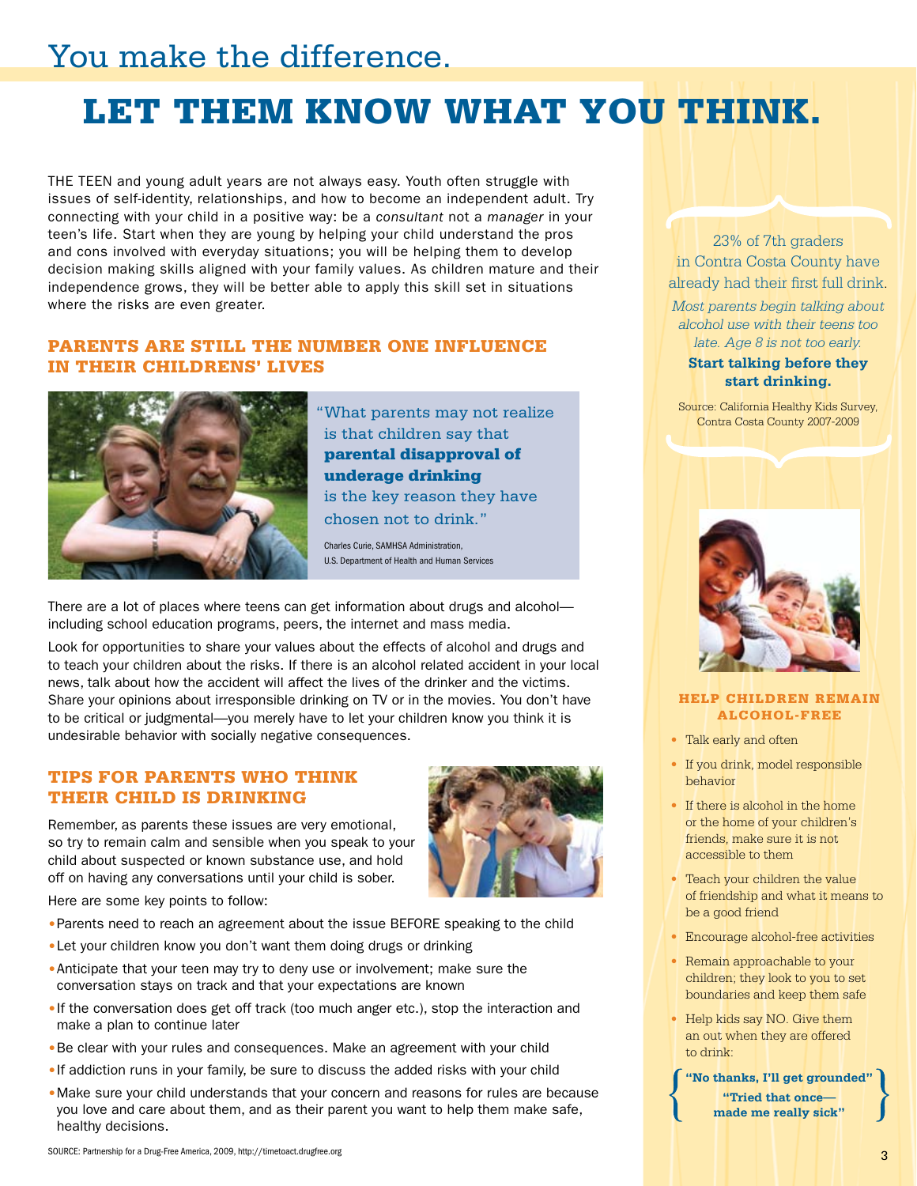## You make the difference.

# Let them know what you think.

THE TEEN and young adult years are not always easy. Youth often struggle with issues of self-identity, relationships, and how to become an independent adult. Try connecting with your child in a positive way: be a *consultant* not a *manager* in your teen's life. Start when they are young by helping your child understand the pros and cons involved with everyday situations; you will be helping them to develop decision making skills aligned with your family values. As children mature and their independence grows, they will be better able to apply this skill set in situations where the risks are even greater.

## Parents are still the number one influence in their childrens' lives



"What parents may not realize is that children say that parental disapproval of underage drinking is the key reason they have chosen not to drink."

Charles Curie, SAMHSA Administration, U.S. Department of Health and Human Services

There are a lot of places where teens can get information about drugs and alcohol including school education programs, peers, the internet and mass media.

Look for opportunities to share your values about the effects of alcohol and drugs and to teach your children about the risks. If there is an alcohol related accident in your local news, talk about how the accident will affect the lives of the drinker and the victims. Share your opinions about irresponsible drinking on TV or in the movies. You don't have to be critical or judgmental—you merely have to let your children know you think it is undesirable behavior with socially negative consequences.

## Tips for parents who think their child is drinking

Remember, as parents these issues are very emotional, so try to remain calm and sensible when you speak to your child about suspected or known substance use, and hold off on having any conversations until your child is sober.



Here are some key points to follow:

- •Parents need to reach an agreement about the issue BEFORE speaking to the child
- •Let your children know you don't want them doing drugs or drinking
- Anticipate that your teen may try to deny use or involvement; make sure the conversation stays on track and that your expectations are known
- •If the conversation does get off track (too much anger etc.), stop the interaction and make a plan to continue later
- Be clear with your rules and consequences. Make an agreement with your child
- •If addiction runs in your family, be sure to discuss the added risks with your child
- •Make sure your child understands that your concern and reasons for rules are because you love and care about them, and as their parent you want to help them make safe, healthy decisions.



*Most parents begin talking about alcohol use with their teens too late. Age 8 is not too early.*

### **Start talking before they start drinking.**

Source: California Healthy Kids Survey, Contra Costa County 2007-2009



### help children remain alcohol-free

- Talk early and often
- If you drink, model responsible behavior
- If there is alcohol in the home or the home of your children's friends, make sure it is not accessible to them
- Teach your children the value of friendship and what it means to be a good friend
- Encourage alcohol-free activities
- Remain approachable to your children; they look to you to set boundaries and keep them safe
- Help kids say NO. Give them an out when they are offered to drink:

**"No thanks, I'll get grounded" "Tried that once made me really sick"**